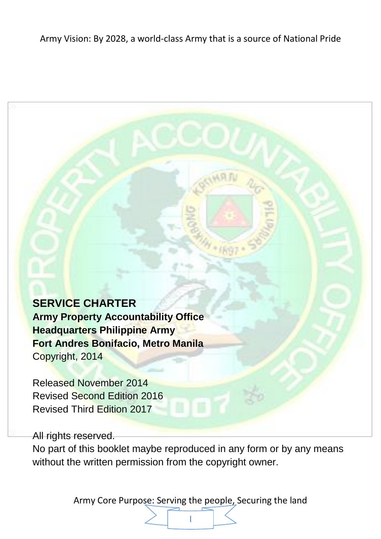### **SERVICE CHARTER**

**Army Property Accountability Office Headquarters Philippine Army Fort Andres Bonifacio, Metro Manila** Copyright, 2014

Released November 2014 Revised Second Edition 2016 Revised Third Edition 2017

All rights reserved.

No part of this booklet maybe reproduced in any form or by any means without the written permission from the copyright owner.

πY

Army Core Purpose: Serving the people, Securing the land

I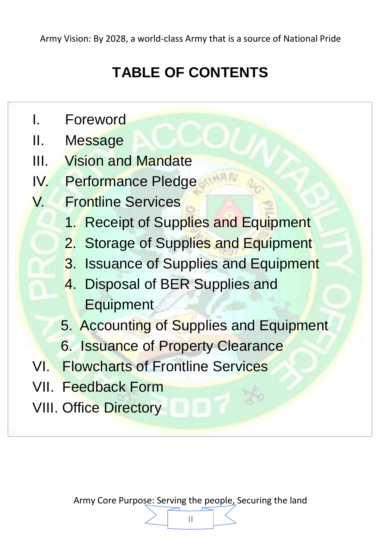# **TABLE OF CONTENTS**

- I. Foreword
- II. Message
- III. Vision and Mandate
- IV. Performance Pledge
- V. Frontline Services
	- 1. Receipt of Supplies and Equipment
	- 2. Storage of Supplies and Equipment
	- 3. Issuance of Supplies and Equipment
	- 4. Disposal of BER Supplies and **Equipment**
	- 5. Accounting of Supplies and Equipment
	- 6. Issuance of Property Clearance
- VI. Flowcharts of Frontline Services
- VII. Feedback Form
- VIII. Office Directory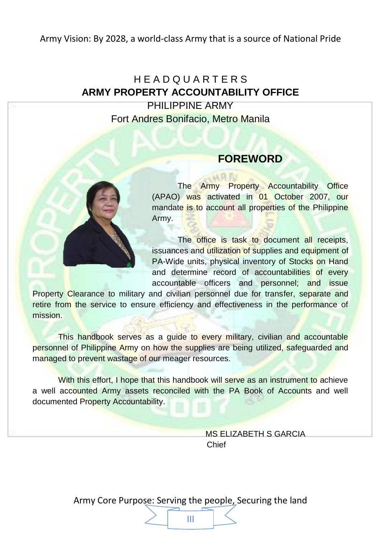### H E A D Q U A R T E R S **ARMY PROPERTY ACCOUNTABILITY OFFICE** PHILIPPINE ARMY Fort Andres Bonifacio, Metro Manila



### **FOREWORD**

The Army Property Accountability Office (APAO) was activated in 01 October 2007, our mandate is to account all properties of the Philippine Army.

The office is task to document all receipts. issuances and utilization of supplies and equipment of PA-Wide units, physical inventory of Stocks on Hand and determine record of accountabilities of every accountable officers and personnel; and issue

Property Clearance to military and civilian personnel due for transfer, separate and retire from the service to ensure efficiency and effectiveness in the performance of mission.

This handbook serves as a guide to every military, civilian and accountable personnel of Philippine Army on how the supplies are being utilized, safeguarded and managed to prevent wastage of our meager resources.

With this effort, I hope that this handbook will serve as an instrument to achieve a well accounted Army assets reconciled with the PA Book of Accounts and well documented Property Accountability.

> MS ELIZABETH S GARCIA Chief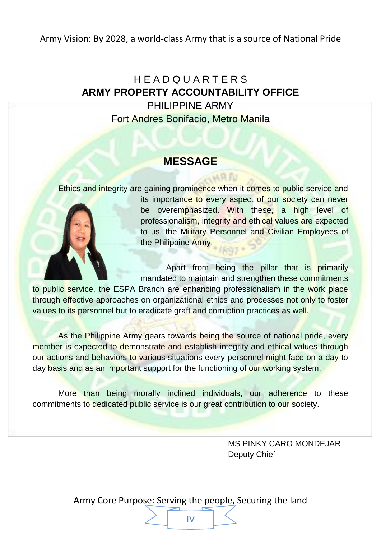### H E A D Q U A R T E R S **ARMY PROPERTY ACCOUNTABILITY OFFICE** PHILIPPINE ARMY Fort Andres Bonifacio, Metro Manila

### **MESSAGE**

Ethics and integrity are gaining prominence when it comes to public service and

**MR FU** 



its importance to every aspect of our society can never be overemphasized. With these, a high level of professionalism, integrity and ethical values are expected to us, the Military Personnel and Civilian Employees of the Philippine Army.

Apart from being the pillar that is primarily mandated to maintain and strengthen these commitments

to public service, the ESPA Branch are enhancing professionalism in the work place through effective approaches on organizational ethics and processes not only to foster values to its personnel but to eradicate graft and corruption practices as well.

As the Philippine Army gears towards being the source of national pride, every member is expected to demonstrate and establish integrity and ethical values through our actions and behaviors to various situations every personnel might face on a day to day basis and as an important support for the functioning of our working system.

More than being morally inclined individuals, our adherence to these commitments to dedicated public service is our great contribution to our society.

> MS PINKY CARO MONDEJAR Deputy Chief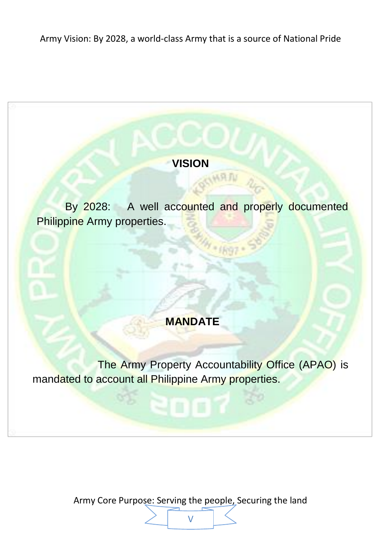### **VISION**

**INRA** 

By 2028: A well accounted and properly documented Philippine Army properties.

### **MANDATE**

The Army Property Accountability Office (APAO) is mandated to account all Philippine Army properties.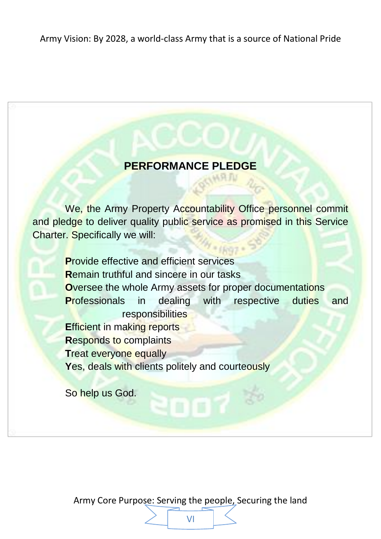### **PERFORMANCE PLEDGE**

**LAKR FLY** 

We, the Army Property Accountability Office personnel commit and pledge to deliver quality public service as promised in this Service Charter. Specifically we will:

**P**rovide effective and efficient services **R**emain truthful and sincere in our tasks **O**versee the whole Army assets for proper documentations **Professionals** in dealing with respective duties and responsibilities **Efficient in making reports R**esponds to complaints **Treat everyone equally** Yes, deals with clients politely and courteously

So help us God.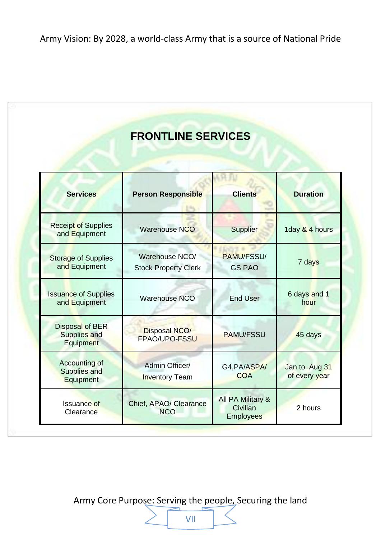### **FRONTLINE SERVICES**

| <b>Services</b>                                               | <b>Person Responsible</b>                     | <b>Clients</b>                     | <b>Duration</b>                |
|---------------------------------------------------------------|-----------------------------------------------|------------------------------------|--------------------------------|
| <b>Receipt of Supplies</b><br>and Equipment                   | <b>Warehouse NCO</b>                          | <b>Supplier</b>                    | 1day & 4 hours                 |
| <b>Storage of Supplies</b><br>and Equipment                   | Warehouse NCO/<br><b>Stock Property Clerk</b> | <b>PAMU/FSSU/</b><br><b>GS PAO</b> | 7 days                         |
| <b>Issuance of Supplies</b><br>Warehouse NCO<br>and Equipment |                                               | <b>End User</b>                    | 6 days and 1<br>hour           |
| Disposal of BER<br>Supplies and<br>Equipment                  | <b>Disposal NCO/</b><br>FPAO/UPO-FSSU         |                                    | 45 days                        |
| Accounting of<br>Supplies and<br>Equipment                    | Admin Officer/<br><b>Inventory Team</b>       |                                    | Jan to Aug 31<br>of every year |
| Issuance of<br>Clearance                                      | Chief, APAO/ Clearance<br><b>NCO</b>          |                                    | 2 hours                        |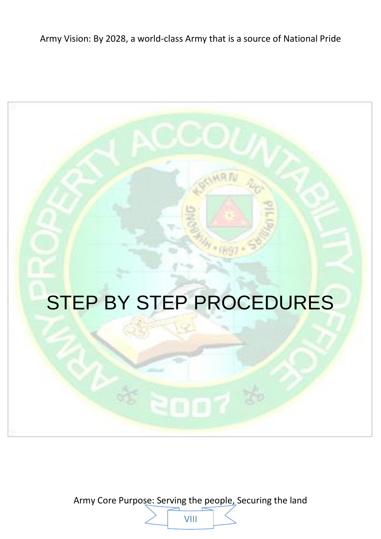# **STEP BY STEP PROCEDURES**

Army Core Purpose: Serving the people, Securing the land VIII

 $\frac{3}{2}$  2007  $\frac{3}{2}$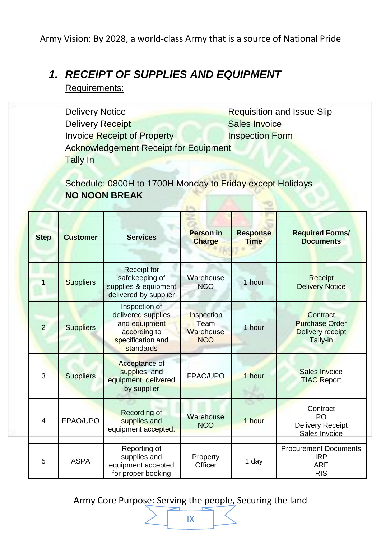### *1. RECEIPT OF SUPPLIES AND EQUIPMENT*

Requirements:

Delivery Notice Requisition and Issue Slip **Delivery Receipt Contract Contract Contract Contract Contract Contract Contract Contract Contract Contract Contract Contract Contract Contract Contract Contract Contract Contract Contract Contract Contract Contract Contra Invoice Receipt of Property Inspection Form** Acknowledgement Receipt for Equipment Tally In

Schedule: 0800H to 1700H Monday to Friday except Holidays **NO NOON BREAK**  $-0.64$ 

| <b>Step</b>             | <b>Customer</b>  | <b>Services</b>                                                                                        | <b>Person in</b><br><b>Charge</b>             | <b>Response</b><br><b>Time</b> | <b>Required Forms/</b><br><b>Documents</b>                             |
|-------------------------|------------------|--------------------------------------------------------------------------------------------------------|-----------------------------------------------|--------------------------------|------------------------------------------------------------------------|
|                         | <b>Suppliers</b> | Receipt for<br>safekeeping of<br>supplies & equipment<br>delivered by supplier                         | Warehouse<br><b>NCO</b>                       | 1 hour                         | <b>Receipt</b><br><b>Delivery Notice</b>                               |
| 2                       | <b>Suppliers</b> | Inspection of<br>delivered supplies<br>and equipment<br>according to<br>specification and<br>standards | Inspection<br>Team<br>Warehouse<br><b>NCO</b> | 1 hour                         | Contract<br><b>Purchase Order</b><br>Delivery receipt<br>Tally-in      |
| 3                       | <b>Suppliers</b> | Acceptance of<br>supplies and<br>equipment delivered<br>by supplier                                    | FPAO/UPO                                      | 1 hour                         | Sales Invoice<br><b>TIAC Report</b>                                    |
| $\overline{\mathbf{4}}$ | FPAO/UPO         | Recording of<br>supplies and<br>equipment accepted.                                                    | Warehouse<br><b>NCO</b>                       | 1 hour                         | Contract<br>PO<br><b>Delivery Receipt</b><br>Sales Invoice             |
| 5                       | <b>ASPA</b>      | Reporting of<br>supplies and<br>equipment accepted<br>for proper booking                               | Property<br>Officer                           | 1 day                          | <b>Procurement Documents</b><br><b>IRP</b><br><b>ARE</b><br><b>RIS</b> |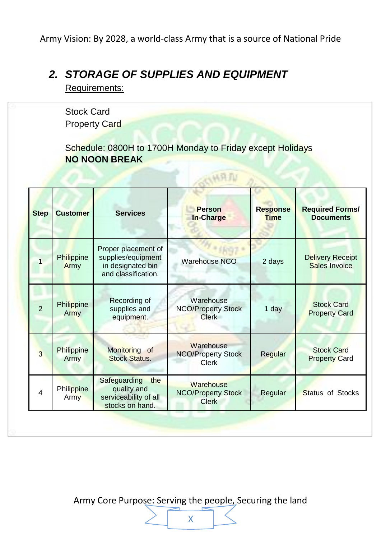### *2. STORAGE OF SUPPLIES AND EQUIPMENT*

Requirements:

Stock Card Property Card

Schedule: 0800H to 1700H Monday to Friday except Holidays **NO NOON BREAK**

以同几

| <b>Step</b>    | <b>Customer</b>           | <b>Services</b>                                                                       | <b>Person</b><br>In-Charge                             | <b>Response</b><br><b>Time</b> | <b>Required Forms/</b><br><b>Documents</b> |
|----------------|---------------------------|---------------------------------------------------------------------------------------|--------------------------------------------------------|--------------------------------|--------------------------------------------|
|                | Philippine<br>Army        | Proper placement of<br>supplies/equipment<br>in designated bin<br>and classification. | <b>Warehouse NCO</b>                                   | 2 days                         | <b>Delivery Receipt</b><br>Sales Invoice   |
| $\mathfrak{p}$ | <b>Philippine</b><br>Army | Recording of<br>supplies and<br>equipment.                                            | Warehouse<br><b>NCO/Property Stock</b><br>Clerk        | 1 day                          | <b>Stock Card</b><br><b>Property Card</b>  |
| 3              | Philippine<br>Army        | Monitoring of<br><b>Stock Status.</b>                                                 | Warehouse<br><b>NCO/Property Stock</b><br><b>Clerk</b> | Regular                        | <b>Stock Card</b><br><b>Property Card</b>  |
| 4              | Philippine<br>Army        | Safeguarding<br>the<br>quality and<br>serviceability of all<br>stocks on hand.        | Warehouse<br><b>NCO/Property Stock</b><br><b>Clerk</b> | Regular                        | Status of Stocks                           |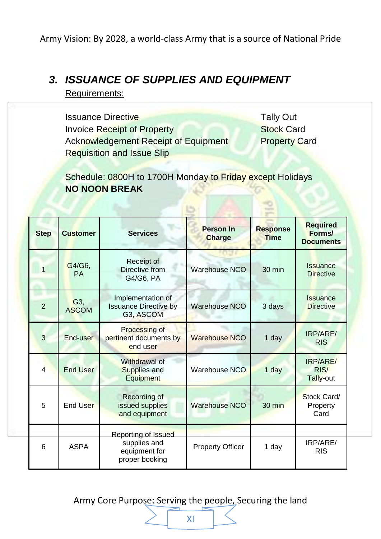### *3. ISSUANCE OF SUPPLIES AND EQUIPMENT*

Requirements:

**Issuance Directive Tally Out** Tally Out **Invoice Receipt of Property** Stock Card Acknowledgement Receipt of Equipment Property Card Requisition and Issue Slip

Schedule: 0800H to 1700H Monday to Friday except Holidays **NO NOON BREAK**

| <b>Step</b>    | <b>Customer</b>     | <b>Services</b>                                                                                   | <b>Person In</b><br><b>Charge</b> | <b>Response</b><br><b>Time</b> | <b>Required</b><br>Forms/<br><b>Documents</b> |
|----------------|---------------------|---------------------------------------------------------------------------------------------------|-----------------------------------|--------------------------------|-----------------------------------------------|
| 1              | G4/G6.<br><b>PA</b> | Receipt of<br>Directive from<br>G4/G6, PA                                                         | <b>Warehouse NCO</b>              | $30 \text{ min}$               | Issuance<br><b>Directive</b>                  |
| $\overline{2}$ | G3,<br><b>ASCOM</b> | Implementation of<br><b>Warehouse NCO</b><br><b>Issuance Directive by</b><br>G3, ASCOM            |                                   | 3 days                         | Issuance<br><b>Directive</b>                  |
| 3              | End-user            | Processing of<br><b>Warehouse NCO</b><br>pertinent documents by<br>end user                       |                                   | 1 day                          | IRP/ARE/<br><b>RIS</b>                        |
| $\overline{4}$ | <b>End User</b>     | Withdrawal of<br>Warehouse NCO<br>Supplies and<br>Equipment                                       |                                   | 1 day                          | IRP/ARE/<br>RIS/<br>Tally-out                 |
| 5              | <b>End User</b>     | Recording of<br><b>Warehouse NCO</b><br>issued supplies<br>and equipment                          |                                   | $30 \text{ min}$               | Stock Card/<br>Property<br>Card               |
| 6              | <b>ASPA</b>         | Reporting of Issued<br>supplies and<br><b>Property Officer</b><br>equipment for<br>proper booking |                                   | 1 day                          | IRP/ARE/<br><b>RIS</b>                        |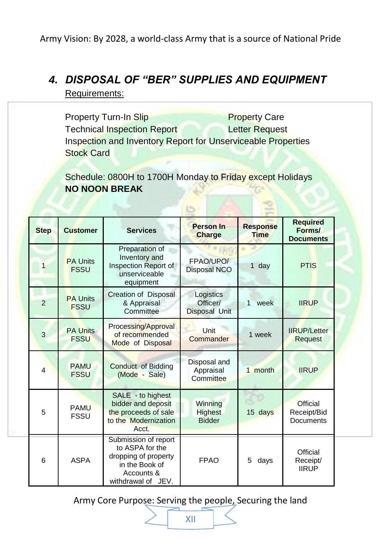# *4. DISPOSAL OF "BER" SUPPLIES AND EQUIPMENT*

Requirements:

Property Turn-In Slip Property Care Technical Inspection Report Letter Request Inspection and Inventory Report for Unserviceable Properties Stock Card

Schedule: 0800H to 1700H Monday to Friday except Holidays **NO NOON BREAK**

| <b>Step</b>   | <b>Customer</b>                | <b>Services</b>                                                                                                       | Person In<br>Charge                        | <b>Response</b><br><b>Time</b> | <b>Required</b><br>Forms/<br><b>Documents</b> |
|---------------|--------------------------------|-----------------------------------------------------------------------------------------------------------------------|--------------------------------------------|--------------------------------|-----------------------------------------------|
|               | <b>PA Units</b><br><b>FSSU</b> | Preparation of<br>Inventory and<br>FPAO/UPO/<br>Inspection Report of<br>Disposal NCO<br>unserviceable<br>equipment    |                                            | 1 day                          | <b>PTIS</b>                                   |
| $\mathcal{P}$ | <b>PA Units</b><br><b>FSSU</b> | Creation of Disposal<br>& Appraisal<br>Committee                                                                      | Logistics<br>Officer/<br>Disposal Unit     | week<br>1                      | <b>IIRUP</b>                                  |
| 3             | <b>PA Units</b><br><b>FSSU</b> | Processing/Approval<br>of recommended<br>Mode of Disposal                                                             | Unit<br>Commander                          | 1 week                         | <b>IIRUP/Letter</b><br>Request                |
| 4             | <b>PAMU</b><br><b>FSSU</b>     | Disposal and<br><b>Conduct of Bidding</b><br>Appraisal<br>(Mode - Sale)<br>Committee                                  |                                            | 1 month                        | <b>IIRUP</b>                                  |
| 5             | <b>PAMU</b><br><b>FSSU</b>     | SALE - to highest<br>bidder and deposit<br>the proceeds of sale<br>to the Modernization<br>Acct.                      | Winning<br><b>Highest</b><br><b>Bidder</b> |                                | Official<br>Receipt/Bid<br>Documents          |
| 6             | <b>ASPA</b>                    | Submission of report<br>to ASPA for the<br>dropping of property<br>in the Book of<br>Accounts &<br>withdrawal of JEV. | <b>FPAO</b>                                | 5<br>days                      | Official<br>Receipt/<br><b>IIRUP</b>          |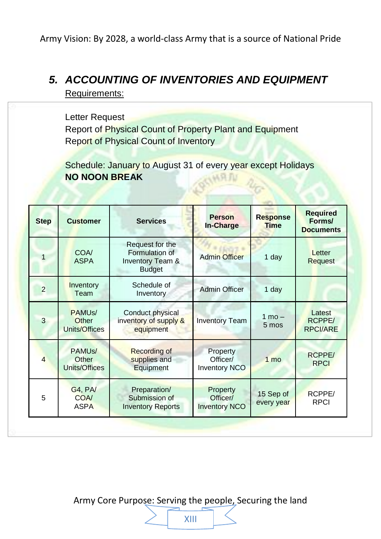### *5. ACCOUNTING OF INVENTORIES AND EQUIPMENT*

Requirements:

Letter Request Report of Physical Count of Property Plant and Equipment Report of Physical Count of Inventory

Schedule: January to August 31 of every year except Holidays **NO NOON BREAK MRFU** 

| <b>Step</b>    | <b>Customer</b>                               | <b>Person</b><br><b>Services</b><br>In-Charge                                     |                                              | <b>Response</b><br><b>Time</b> | <b>Required</b><br>Forms/<br><b>Documents</b> |
|----------------|-----------------------------------------------|-----------------------------------------------------------------------------------|----------------------------------------------|--------------------------------|-----------------------------------------------|
|                | COA/<br><b>ASPA</b>                           | Request for the<br>Formulation of<br><b>Inventory Team &amp;</b><br><b>Budget</b> | <b>Admin Officer</b>                         |                                | Letter<br>Request                             |
| $\overline{2}$ | Inventory<br>Team                             | Schedule of<br>Inventory                                                          | <b>Admin Officer</b>                         | 1 day                          |                                               |
| 3              | PAMU <sub>s</sub> /<br>Other<br>Units/Offices | Conduct physical<br>inventory of supply &<br>equipment                            | <b>Inventory Team</b>                        | $1 \text{ mo} -$<br>5 mos      | Latest<br>RCPPE/<br><b>RPCI/ARE</b>           |
| $\overline{4}$ | PAMU <sub>s</sub> /<br>Other<br>Units/Offices | <b>Recording of</b><br>supplies and<br>Equipment                                  | Property<br>Officer/<br><b>Inventory NCO</b> | 1 <sub>mo</sub>                | <b>RCPPE/</b><br><b>RPCI</b>                  |
| 5              | <b>G4, PA/</b><br><b>COA/</b><br><b>ASPA</b>  | Preparation/<br>Submission of<br><b>Inventory Reports</b>                         | Property<br>Officer/<br><b>Inventory NCO</b> | 15 Sep of<br>every year        | RCPPE/<br><b>RPCI</b>                         |

XIII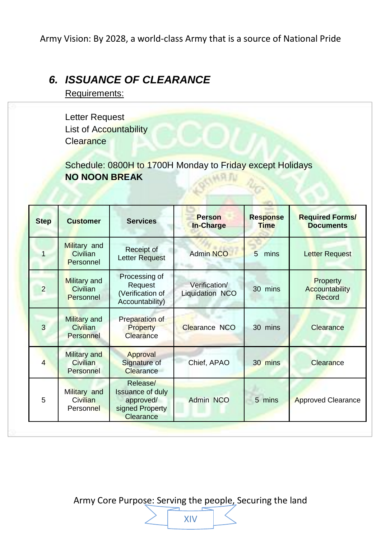### *6. ISSUANCE OF CLEARANCE*

Requirements:

Letter Request List of Accountability **Clearance** 

Schedule: 0800H to 1700H Monday to Friday except Holidays **NO NOON BREAK HARTH** 

| <b>Step</b>    | <b>Customer</b>                              | <b>Services</b>                                                                  | <b>Person</b><br>In-Charge       | <b>Response</b><br><b>Time</b> | <b>Required Forms/</b><br><b>Documents</b> |
|----------------|----------------------------------------------|----------------------------------------------------------------------------------|----------------------------------|--------------------------------|--------------------------------------------|
|                | Military and<br>Civilian<br>Personnel        | Receipt of<br>Letter Request                                                     | <b>Admin NCO</b>                 | 5<br>mins                      | <b>Letter Request</b>                      |
| $\overline{2}$ | Military and<br>Civilian<br>Personnel        | Processing of<br>Request<br>(Verification of<br>Accountability)                  | Verification/<br>Liquidation NCO | 30<br>mins                     | Property<br>Accountability<br>Record       |
| 3              | Military and<br>Civilian<br>Personnel        | Preparation of<br>Property<br>Clearance                                          | Clearance NCO                    | 30 mins                        | Clearance                                  |
| 4              | Military and<br>Civilian<br>Personnel        | Approval<br>Signature of<br>Clearance                                            | Chief, APAO                      | 30 mins                        | Clearance                                  |
| 5              | Military and<br><b>Civilian</b><br>Personnel | Release/<br><b>Issuance of duly</b><br>approved/<br>signed Property<br>Clearance | Admin NCO                        | 5 mins                         | <b>Approved Clearance</b>                  |

XIV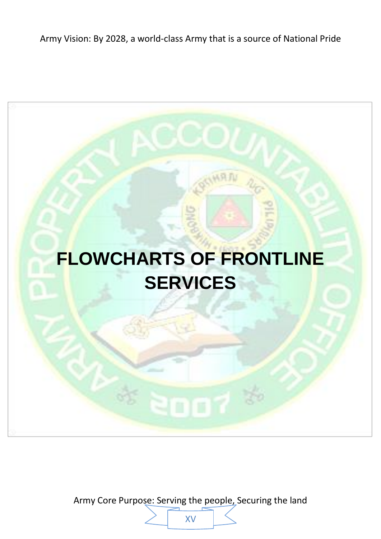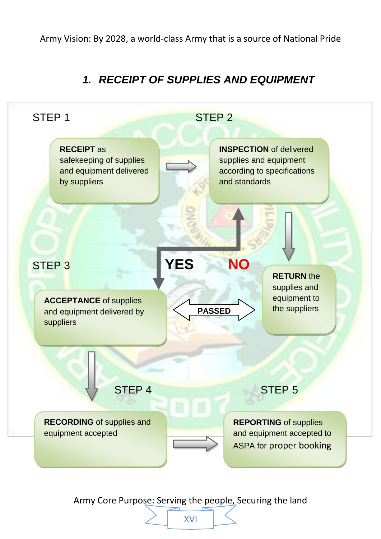### *1. RECEIPT OF SUPPLIES AND EQUIPMENT*

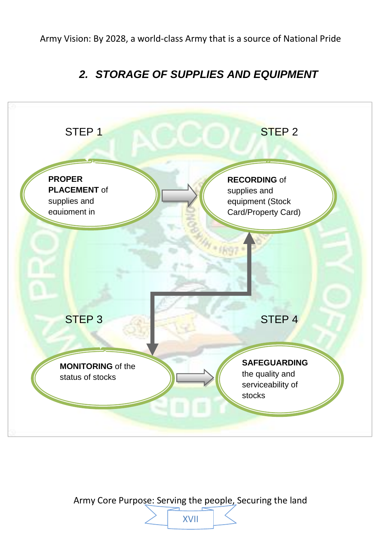### *2. STORAGE OF SUPPLIES AND EQUIPMENT*



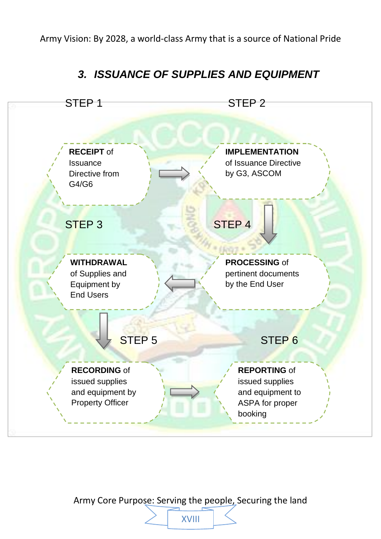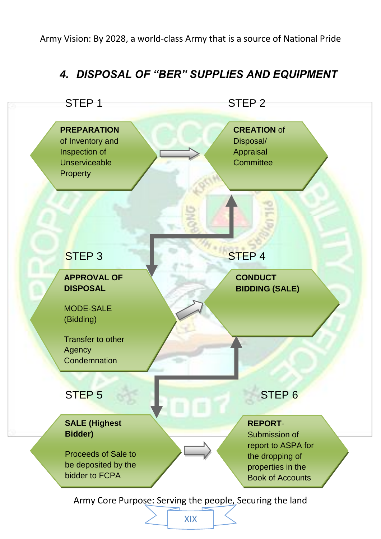### *4. DISPOSAL OF "BER" SUPPLIES AND EQUIPMENT*



XIX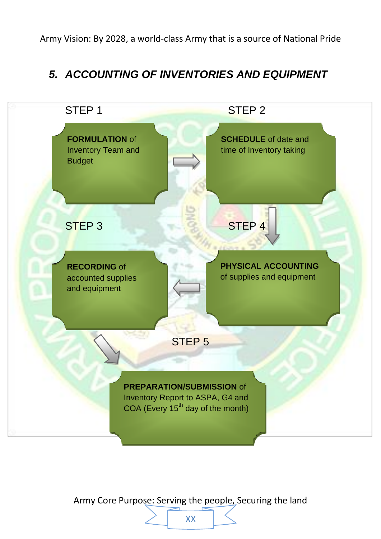### *5. ACCOUNTING OF INVENTORIES AND EQUIPMENT*



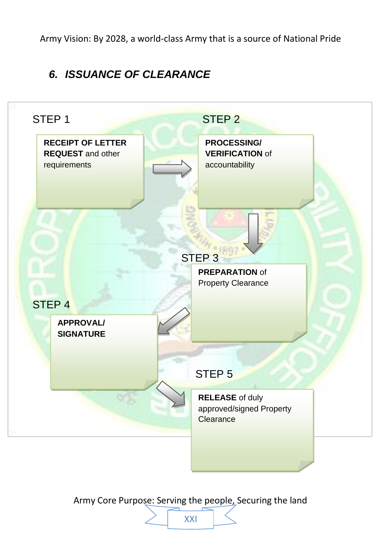### *6. ISSUANCE OF CLEARANCE*



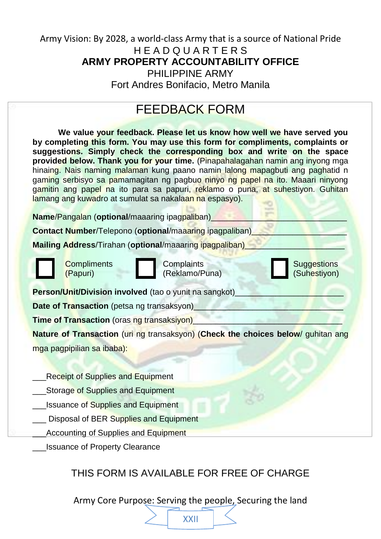#### Army Vision: By 2028, a world-class Army that is a source of National Pride H E A D Q U A R T E R S **ARMY PROPERTY ACCOUNTABILITY OFFICE** PHILIPPINE ARMY Fort Andres Bonifacio, Metro Manila

## FEEDBACK FORM

**We value your feedback. Please let us know how well we have served you by completing this form. You may use this form for compliments, complaints or suggestions. Simply check the corresponding box and write on the space provided below. Thank you for your time.** (Pinapahalagahan namin ang inyong mga hinaing. Nais naming malaman kung paano namin lalong mapagbuti ang paghatid n gaming serbisyo sa pamamagitan ng pagbuo ninyo ng papel na ito. Maaari ninyong gamitin ang papel na ito para sa papuri, reklamo o puna, at suhestiyon. Guhitan lamang ang kuwadro at sumulat sa nakalaan na espasyo).

**Name/Pangalan (optional/maaaring ipagpaliban)** 

**Contact Number**/Telepono (**optional**/maaaring ipagpaliban)

**Mailing Address/Tirahan (optional/maaaring ipagpaliban)** 





**Compliments** Complaints **Complaints** Suggestions (Papuri) (Reklamo/Puna) (Suhestiyon)

**Person/Unit/Division involved** (tao o yunit na sangkot)

**Date of Transaction** (petsa ng transaksyon)

**Time of Transaction** (oras ng transaksiyon)

**Nature of Transaction** (uri ng transaksyon) (**Check the choices below**/ guhitan ang mga pagpipilian sa ibaba):

- Receipt of Supplies and Equipment
- Storage of Supplies and Equipment
- Issuance of Supplies and Equipment
- Disposal of BER Supplies and Equipment
- Accounting of Supplies and Equipment
- \_\_\_Issuance of Property Clearance

### THIS FORM IS AVAILABLE FOR FREE OF CHARGE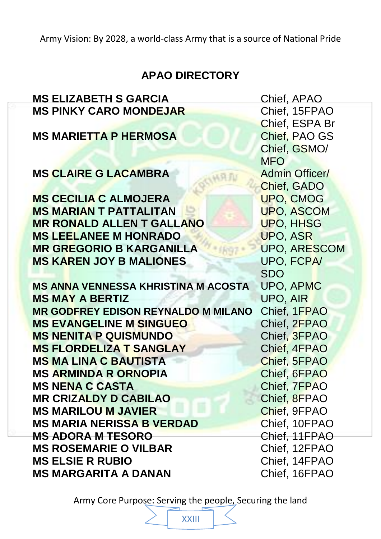### **APAO DIRECTORY**

# **MS ELIZABETH S GARCIA** Chief, APAO **MS PINKY CARO MONDEJAR** Chief, 15FPAO **MS MARIETTA P HERMOSA** Chief, PAO GS **MS CLAIRE G LACAMBRA** Admin Officer/ **MS CECILIA C ALMOJERA** UPO, CMOG **MS MARIAN T PATTALITAN DE LA LUPO, ASCOM MR RONALD ALLEN T GALLANO UPO, HHSG MS LEELANEE M HONRADO** UPO, ASR **MR GREGORIO B KARGANILLA** UPO, ARESCOM **MS KAREN JOY B MALIONES** UPO, FCPA/ **MS ANNA VENNESSA KHRISTINA M ACOSTA** UPO, APMC **MS MAY A BERTIZ** UPO, AIR **MR GODFREY EDISON REYNALDO M MILANO** Chief, 1FPAO **MS EVANGELINE M SINGUEO** Chief, 2FPAO **MS NENITA P QUISMUNDO** Chief, 3FPAO **MS FLORDELIZA T SANGLAY** Chief, 4FPAO **MS MA LINA C BAUTISTA** Chief, 5FPAO **MS ARMINDA R ORNOPIA** Chief, 6FPAO **MS NENA C CASTA** CHIEF, 7FPAO **MR CRIZALDY D CABILAO Chief, 8FPAO MS MARILOU M JAVIER** Chief, 9FPAO **MS MARIA NERISSA B VERDAD** Chief, 10FPAO **MS ADORA M TESORO Chief, 11FPAO MS ROSEMARIE O VILBAR** Chief, 12FPAO **MS ELSIE R RUBIO** Chief, 14FPAO

Chief, ESPA Br Chief, GSMO/ **MFO** Chief, GADO SDO **MS MARGARITA A DANAN** Chief, 16FPAO

Army Core Purpose: Serving the people, Securing the land

XXIII